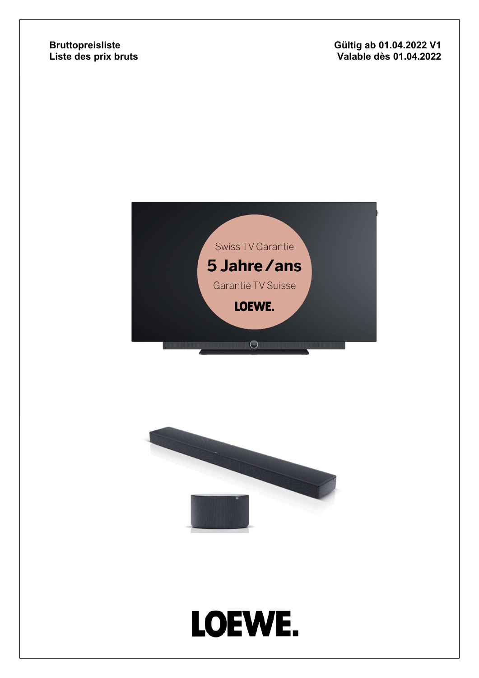#### Bruttopreisliste Liste des prix bruts

#### Gültig ab 01.04.2022 V1 Valable dès 01 . 0 4.20 2 2



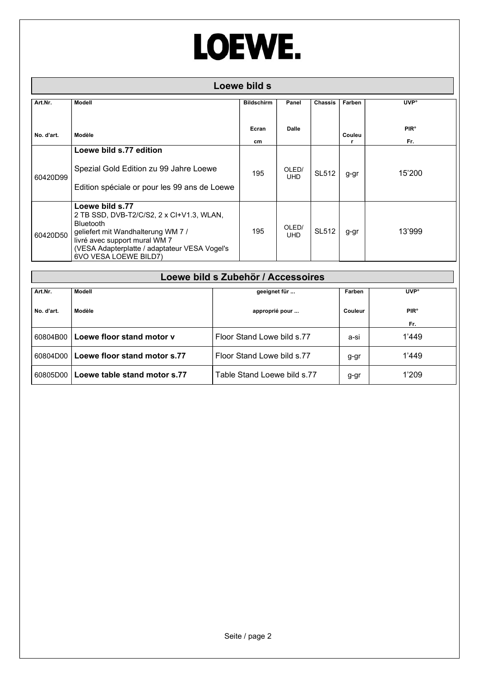| Loewe bild s |                                                                                                                                                                                                                            |                   |                     |                |        |                               |  |  |
|--------------|----------------------------------------------------------------------------------------------------------------------------------------------------------------------------------------------------------------------------|-------------------|---------------------|----------------|--------|-------------------------------|--|--|
| Art.Nr.      | Modell                                                                                                                                                                                                                     | <b>Bildschirm</b> | Panel               | <b>Chassis</b> | Farben | <b>UVP</b> <sup>o</sup>       |  |  |
| No. d'art.   | Modèle                                                                                                                                                                                                                     | Ecran<br>cm       | Dalle               |                | Couleu | <b>PIR<sup>°</sup></b><br>Fr. |  |  |
| 60420D99     | Loewe bild s.77 edition<br>Spezial Gold Edition zu 99 Jahre Loewe<br>Edition spéciale or pour les 99 ans de Loewe                                                                                                          | 195               | OLED/<br><b>UHD</b> | <b>SL512</b>   | g-gr   | 15'200                        |  |  |
| 60420D50     | Loewe bild s.77<br>2 TB SSD, DVB-T2/C/S2, 2 x CI+V1.3, WLAN,<br>Bluetooth<br>geliefert mit Wandhalterung WM 7 /<br>livré avec support mural WM 7<br>(VESA Adapterplatte / adaptateur VESA Vogel's<br>6VO VESA LOEWE BILD7) | 195               | OLED/<br><b>UHD</b> | <b>SL512</b>   | g-gr   | 13'999                        |  |  |

|            | Loewe bild s Zubehör / Accessoires |                             |         |                        |  |  |  |  |  |  |
|------------|------------------------------------|-----------------------------|---------|------------------------|--|--|--|--|--|--|
| Art.Nr.    | Modell                             | geeignet für                | Farben  | <b>UVP</b> °           |  |  |  |  |  |  |
| No. d'art. | Modèle                             | approprié pour              | Couleur | <b>PIR<sup>°</sup></b> |  |  |  |  |  |  |
|            |                                    |                             |         | Fr.                    |  |  |  |  |  |  |
| 60804B00   | Loewe floor stand motor v          | Floor Stand Lowe bild s.77  | a-si    | 1'449                  |  |  |  |  |  |  |
| 60804D00   | Loewe floor stand motor s.77       | Floor Stand Lowe bild s.77  | g-gr    | 1'449                  |  |  |  |  |  |  |
| 60805D00   | Loewe table stand motor s.77       | Table Stand Loewe bild s.77 | g-gr    | 1'209                  |  |  |  |  |  |  |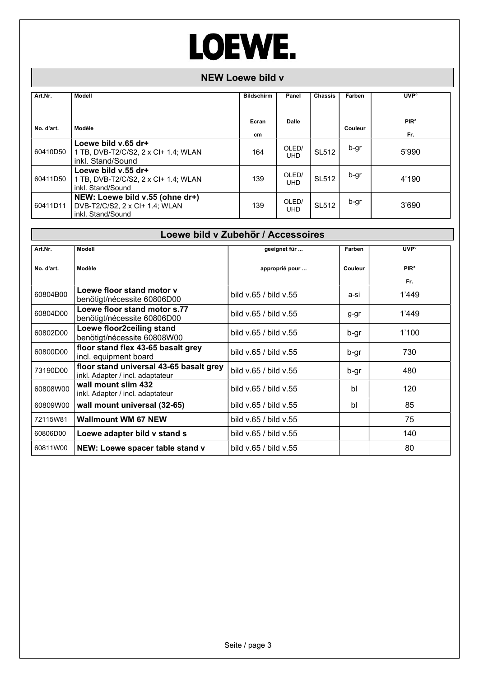#### NEW Loewe bild v

| Art.Nr.    | Modell                                                                                 | <b>Bildschirm</b> | Panel               | <b>Chassis</b> | Farben  | <b>UVP</b> °                  |
|------------|----------------------------------------------------------------------------------------|-------------------|---------------------|----------------|---------|-------------------------------|
| No. d'art. | Modèle                                                                                 | Ecran<br>cm       | <b>Dalle</b>        |                | Couleur | <b>PIR<sup>°</sup></b><br>Fr. |
| 60410D50   | Loewe bild v.65 dr+<br>1 TB, DVB-T2/C/S2, 2 x CI+ 1.4; WLAN<br>inkl. Stand/Sound       | 164               | OLED/<br><b>UHD</b> | <b>SL512</b>   | b-gr    | 5'990                         |
| 60411D50   | Loewe bild v.55 dr+<br>1 TB, DVB-T2/C/S2, 2 x CI+ 1.4; WLAN<br>inkl. Stand/Sound       | 139               | OLED/<br><b>UHD</b> | <b>SL512</b>   | b-gr    | 4'190                         |
| 60411D11   | NEW: Loewe bild v.55 (ohne dr+)<br>DVB-T2/C/S2, 2 x CI+ 1.4; WLAN<br>inkl. Stand/Sound | 139               | OLED/<br><b>UHD</b> | <b>SL512</b>   | b-gr    | 3'690                         |

| Loewe bild v Zubehör / Accessoires |                                                                             |                       |         |                               |  |  |  |  |
|------------------------------------|-----------------------------------------------------------------------------|-----------------------|---------|-------------------------------|--|--|--|--|
| Art.Nr.                            | <b>Modell</b>                                                               | geeignet für          | Farben  | <b>UVP</b> °                  |  |  |  |  |
| No. d'art.                         | Modèle                                                                      | approprié pour        | Couleur | <b>PIR<sup>°</sup></b><br>Fr. |  |  |  |  |
| 60804B00                           | Loewe floor stand motor y<br>benötigt/nécessite 60806D00                    | bild v.65 / bild v.55 | a-si    | 1'449                         |  |  |  |  |
| 60804D00                           | Loewe floor stand motor s.77<br>benötigt/nécessite 60806D00                 | bild v.65 / bild v.55 | g-gr    | 1'449                         |  |  |  |  |
| 60802D00                           | Loewe floor2ceiling stand<br>benötigt/nécessite 60808W00                    | bild v.65 / bild v.55 | b-gr    | 1'100                         |  |  |  |  |
| 60800D00                           | floor stand flex 43-65 basalt grey<br>incl. equipment board                 | bild v.65 / bild v.55 | b-gr    | 730                           |  |  |  |  |
| 73190D00                           | floor stand universal 43-65 basalt grey<br>inkl. Adapter / incl. adaptateur | bild v.65 / bild v.55 | b-gr    | 480                           |  |  |  |  |
| 60808W00                           | wall mount slim 432<br>inkl. Adapter / incl. adaptateur                     | bild v.65 / bild v.55 | bl      | 120                           |  |  |  |  |
| 60809W00                           | wall mount universal (32-65)                                                | bild v.65 / bild v.55 | bl      | 85                            |  |  |  |  |
| 72115W81                           | <b>Wallmount WM 67 NEW</b>                                                  | bild v.65 / bild v.55 |         | 75                            |  |  |  |  |
| 60806D00                           | Loewe adapter bild v stand s                                                | bild v.65 / bild v.55 |         | 140                           |  |  |  |  |
| 60811W00                           | NEW: Loewe spacer table stand v                                             | bild v.65 / bild v.55 |         | 80                            |  |  |  |  |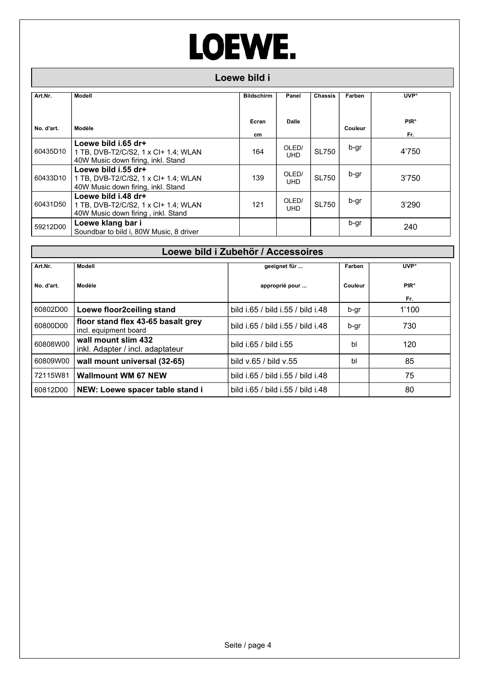#### Loewe bild i

| Art.Nr.    | Modell                                                                                            | <b>Bildschirm</b> | Panel               | <b>Chassis</b> | Farben  | <b>UVP</b> °                  |
|------------|---------------------------------------------------------------------------------------------------|-------------------|---------------------|----------------|---------|-------------------------------|
| No. d'art. | Modèle                                                                                            | Ecran<br>cm.      | Dalle               |                | Couleur | <b>PIR<sup>°</sup></b><br>Fr. |
| 60435D10   | Loewe bild i.65 dr+<br>1 TB, DVB-T2/C/S2, 1 x CI+ 1.4; WLAN<br>40W Music down firing, inkl. Stand | 164               | OLED/<br><b>UHD</b> | <b>SL750</b>   | b-gr    | 4'750                         |
| 60433D10   | Loewe bild i.55 dr+<br>1 TB, DVB-T2/C/S2, 1 x Cl+ 1.4; WLAN<br>40W Music down firing, inkl. Stand | 139               | OLED/<br><b>UHD</b> | <b>SL750</b>   | b-gr    | 3'750                         |
| 60431D50   | Loewe bild i.48 dr+<br>1 TB, DVB-T2/C/S2, 1 x CI+ 1.4; WLAN<br>40W Music down firing, inkl. Stand | 121               | OLED/<br><b>UHD</b> | <b>SL750</b>   | b-gr    | 3'290                         |
| 59212D00   | Loewe klang bar i<br>Soundbar to bild i. 80W Music, 8 driver                                      |                   |                     |                | b-gr    | 240                           |

|            | Loewe bild i Zubehör / Accessoires                          |                                   |         |                        |  |  |  |  |  |  |
|------------|-------------------------------------------------------------|-----------------------------------|---------|------------------------|--|--|--|--|--|--|
| Art.Nr.    | Modell                                                      | geeignet für                      | Farben  | <b>UVP</b> °           |  |  |  |  |  |  |
| No. d'art. | Modèle                                                      | approprié pour                    | Couleur | <b>PIR<sup>°</sup></b> |  |  |  |  |  |  |
|            |                                                             |                                   |         | Fr.                    |  |  |  |  |  |  |
| 60802D00   | Loewe floor2ceiling stand                                   | bild i.65 / bild i.55 / bild i.48 | b-gr    | 1'100                  |  |  |  |  |  |  |
| 60800D00   | floor stand flex 43-65 basalt grey<br>incl. equipment board | bild i.65 / bild i.55 / bild i.48 | b-gr    | 730                    |  |  |  |  |  |  |
| 60808W00   | wall mount slim 432<br>inkl. Adapter / incl. adaptateur     | bild i.65 / bild i.55             | bl      | 120                    |  |  |  |  |  |  |
| 60809W00   | wall mount universal (32-65)                                | bild v.65 / bild v.55             | bl      | 85                     |  |  |  |  |  |  |
| 72115W81   | <b>Wallmount WM 67 NEW</b>                                  | bild i.65 / bild i.55 / bild i.48 |         | 75                     |  |  |  |  |  |  |
| 60812D00   | NEW: Loewe spacer table stand i                             | bild i.65 / bild i.55 / bild i.48 |         | 80                     |  |  |  |  |  |  |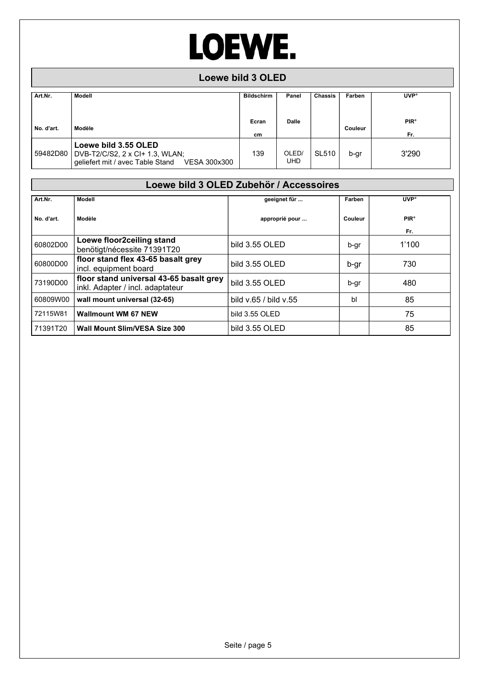#### Loewe bild 3 OLED

| Art.Nr.    | Modell                                                                                                              | <b>Bildschirm</b> | Panel               | <b>Chassis</b> | Farben  | <b>UVP</b> °                  |
|------------|---------------------------------------------------------------------------------------------------------------------|-------------------|---------------------|----------------|---------|-------------------------------|
| No. d'art. | Modèle                                                                                                              | Ecran<br>cm       | <b>Dalle</b>        |                | Couleur | <b>PIR<sup>°</sup></b><br>Fr. |
|            | Loewe bild 3.55 OLED<br>59482D80   DVB-T2/C/S2, 2 x CI+ 1.3, WLAN;<br>geliefert mit / avec Table Stand VESA 300x300 | 139               | OLED/<br><b>UHD</b> | <b>SL510</b>   | b-gr    | 3'290                         |

#### Loewe bild 3 OLED Zubehör / Accessoires

| Art.Nr.    | Modell                                                                      | geeignet für          | Farben       | <b>UVP</b> °                   |
|------------|-----------------------------------------------------------------------------|-----------------------|--------------|--------------------------------|
| No. d'art. | Modèle                                                                      | approprié pour        | Couleur      | <b>PIR</b> <sup>°</sup><br>Fr. |
| 60802D00   | Loewe floor2ceiling stand<br>benötigt/nécessite 71391T20                    | bild 3.55 OLED        | b-gr         | 1'100                          |
| 60800D00   | floor stand flex 43-65 basalt grey<br>incl. equipment board                 | bild 3.55 OLED        | b-gr         | 730                            |
| 73190D00   | floor stand universal 43-65 basalt grey<br>inkl. Adapter / incl. adaptateur | bild 3.55 OLED        | b-gr         | 480                            |
| 60809W00   | wall mount universal (32-65)                                                | bild v.65 / bild v.55 | $\mathsf{b}$ | 85                             |
| 72115W81   | <b>Wallmount WM 67 NEW</b>                                                  | bild 3.55 OLED        |              | 75                             |
| 71391T20   | <b>Wall Mount Slim/VESA Size 300</b>                                        | bild 3.55 OLED        |              | 85                             |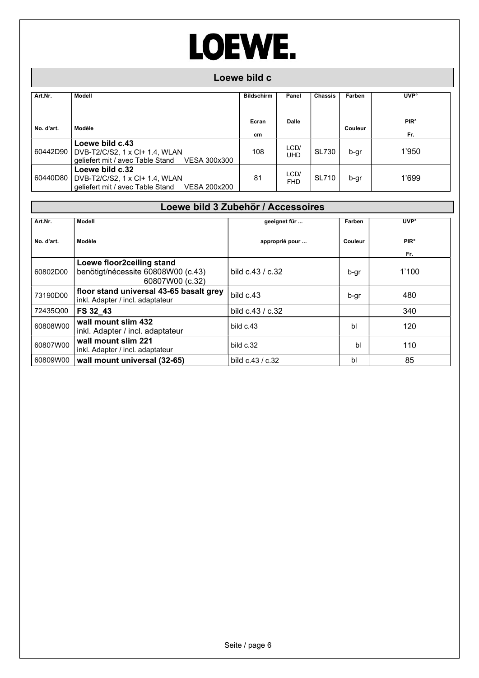|            | Loewe bild c                                                                                       |                   |                    |                |         |                               |  |  |  |  |
|------------|----------------------------------------------------------------------------------------------------|-------------------|--------------------|----------------|---------|-------------------------------|--|--|--|--|
| Art.Nr.    | Modell                                                                                             | <b>Bildschirm</b> | Panel              | <b>Chassis</b> | Farben  | <b>UVP</b> °                  |  |  |  |  |
| No. d'art. | Modèle                                                                                             | Ecran<br>cm       | Dalle              |                | Couleur | <b>PIR<sup>°</sup></b><br>Fr. |  |  |  |  |
| 60442D90   | Loewe bild c.43<br>DVB-T2/C/S2, 1 x CI+ 1.4, WLAN<br>geliefert mit / avec Table Stand VESA 300x300 | 108               | LCD/<br>UHD        | <b>SL730</b>   | b-gr    | 1'950                         |  |  |  |  |
| 60440D80   | Loewe bild c.32<br>DVB-T2/C/S2, 1 x CI+ 1.4, WLAN<br>qeliefert mit / avec Table Stand VESA 200x200 | 81                | LCD/<br><b>FHD</b> | <b>SL710</b>   | b-gr    | 1'699                         |  |  |  |  |

|            | Loewe bild 3 Zubehör / Accessoires                                                 |                    |         |                               |  |  |  |  |  |  |
|------------|------------------------------------------------------------------------------------|--------------------|---------|-------------------------------|--|--|--|--|--|--|
| Art.Nr.    | <b>Modell</b>                                                                      | geeignet für       | Farben  | <b>UVP</b> °                  |  |  |  |  |  |  |
| No. d'art. | Modèle                                                                             | approprié pour     | Couleur | <b>PIR<sup>°</sup></b><br>Fr. |  |  |  |  |  |  |
| 60802D00   | Loewe floor2ceiling stand<br>benötigt/nécessite 60808W00 (c.43)<br>60807W00 (c.32) | bild $c.43 / c.32$ | b-gr    | 1'100                         |  |  |  |  |  |  |
| 73190D00   | floor stand universal 43-65 basalt grey<br>inkl. Adapter / incl. adaptateur        | bild $c.43$        | b-gr    | 480                           |  |  |  |  |  |  |
| 72435Q00   | FS 32 43                                                                           | bild c.43 / c.32   |         | 340                           |  |  |  |  |  |  |
| 60808W00   | wall mount slim 432<br>inkl. Adapter / incl. adaptateur                            | bild c.43          | bl      | 120                           |  |  |  |  |  |  |
| 60807W00   | wall mount slim 221<br>inkl. Adapter / incl. adaptateur                            | bild c.32          | bl      | 110                           |  |  |  |  |  |  |
| 60809W00   | wall mount universal (32-65)                                                       | bild $c.43 / c.32$ | bl      | 85                            |  |  |  |  |  |  |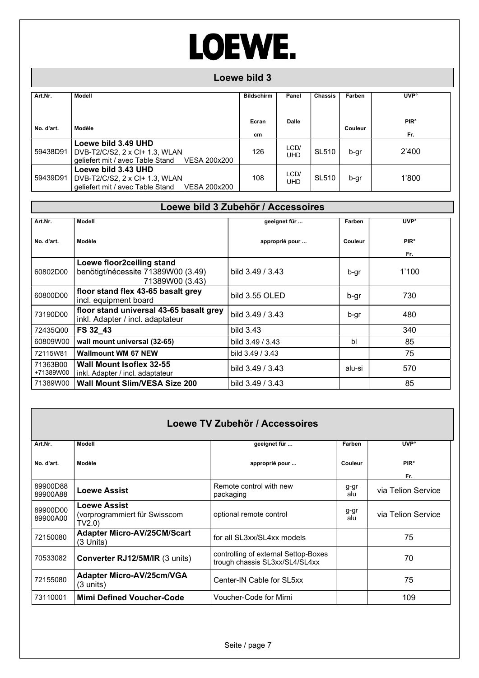### Loewe bild 3

| Art.Nr.    | Modell                                                                                                    | <b>Bildschirm</b> | Panel              | <b>Chassis</b> | Farben  | <b>UVP</b> °                  |
|------------|-----------------------------------------------------------------------------------------------------------|-------------------|--------------------|----------------|---------|-------------------------------|
|            |                                                                                                           |                   |                    |                |         |                               |
| No. d'art. | Modèle                                                                                                    | Ecran<br>cm       | <b>Dalle</b>       |                | Couleur | <b>PIR<sup>°</sup></b><br>Fr. |
| 59438D91   | Loewe bild 3.49 UHD<br>DVB-T2/C/S2, 2 x CI+ 1.3, WLAN<br>geliefert mit / avec Table Stand<br>VESA 200x200 | 126               | LCD/<br>UHD        | <b>SL510</b>   | b-gr    | 2'400                         |
| 59439D91   | Loewe bild 3.43 UHD<br>DVB-T2/C/S2, 2 x CI+ 1.3, WLAN<br>geliefert mit / avec Table Stand<br>VESA 200x200 | 108               | LCD/<br><b>UHD</b> | <b>SL510</b>   | b-gr    | 1'800                         |

| Loewe bild 3 Zubehör / Accessoires |                                                                                    |                    |         |                        |  |  |  |  |  |
|------------------------------------|------------------------------------------------------------------------------------|--------------------|---------|------------------------|--|--|--|--|--|
| Art.Nr.                            | <b>Modell</b>                                                                      | geeignet für       | Farben  | <b>UVP</b> °           |  |  |  |  |  |
| No. d'art.                         | Modèle                                                                             | approprié pour     | Couleur | <b>PIR<sup>°</sup></b> |  |  |  |  |  |
| 60802D00                           | Loewe floor2ceiling stand<br>benötigt/nécessite 71389W00 (3.49)<br>71389W00 (3.43) | bild $3.49 / 3.43$ | b-gr    | Fr.<br>1'100           |  |  |  |  |  |
| 60800D00                           | floor stand flex 43-65 basalt grey<br>incl. equipment board                        | bild 3.55 OLED     | b-gr    | 730                    |  |  |  |  |  |
| 73190D00                           | floor stand universal 43-65 basalt grey<br>inkl. Adapter / incl. adaptateur        | bild 3.49 / 3.43   | b-gr    | 480                    |  |  |  |  |  |
| 72435Q00                           | FS 32 43                                                                           | bild 3.43          |         | 340                    |  |  |  |  |  |
| 60809W00                           | wall mount universal (32-65)                                                       | bild 3.49 / 3.43   | bl      | 85                     |  |  |  |  |  |
| 72115W81                           | <b>Wallmount WM 67 NEW</b>                                                         | bild 3.49 / 3.43   |         | 75                     |  |  |  |  |  |
| 71363B00<br>+71389W00              | Wall Mount Isoflex 32-55<br>inkl. Adapter / incl. adaptateur                       | bild $3.49 / 3.43$ | alu-si  | 570                    |  |  |  |  |  |
| 71389W00                           | <b>Wall Mount Slim/VESA Size 200</b>                                               | bild 3.49 / 3.43   |         | 85                     |  |  |  |  |  |

|                      |                                                               | Loewe TV Zubehör / Accessoires                                         |             |                               |
|----------------------|---------------------------------------------------------------|------------------------------------------------------------------------|-------------|-------------------------------|
| Art.Nr.              | <b>Modell</b>                                                 | geeignet für                                                           | Farben      | <b>UVP</b> °                  |
| No. d'art.           | Modèle                                                        | approprié pour                                                         | Couleur     | <b>PIR<sup>°</sup></b><br>Fr. |
| 89900D88<br>89900A88 | <b>Loewe Assist</b>                                           | Remote control with new<br>packaging                                   | g-gr<br>alu | via Telion Service            |
| 89900D00<br>89900A00 | <b>Loewe Assist</b><br>(vorprogrammiert für Swisscom<br>TV2.0 | optional remote control                                                | g-gr<br>alu | via Telion Service            |
| 72150080             | <b>Adapter Micro-AV/25CM/Scart</b><br>$(3$ Units)             | for all SL3xx/SL4xx models                                             |             | 75                            |
| 70533082             | Converter RJ12/5M/IR (3 units)                                | controlling of external Settop-Boxes<br>trough chassis SL3xx/SL4/SL4xx |             | 70                            |
| 72155080             | Adapter Micro-AV/25cm/VGA<br>$(3 \text{ units})$              | Center-IN Cable for SL5xx                                              |             | 75                            |
| 73110001             | <b>Mimi Defined Voucher-Code</b>                              | Voucher-Code for Mimi                                                  |             | 109                           |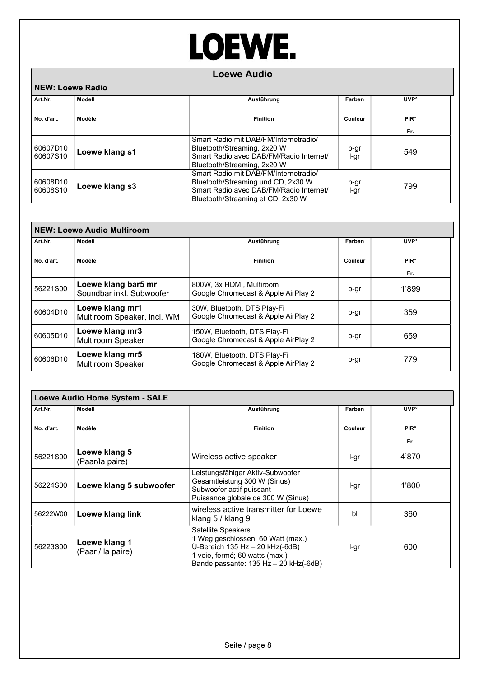|                         |                | <b>Loewe Audio</b>                                                                                                                                          |              |                        |
|-------------------------|----------------|-------------------------------------------------------------------------------------------------------------------------------------------------------------|--------------|------------------------|
| <b>NEW: Loewe Radio</b> |                |                                                                                                                                                             |              |                        |
| Art.Nr.                 | Modell         | Ausführung                                                                                                                                                  | Farben       | <b>UVP</b> °           |
| No. d'art.              | Modèle         | <b>Finition</b>                                                                                                                                             | Couleur      | <b>PIR<sup>°</sup></b> |
| 60607D10                | Loewe klang s1 | Smart Radio mit DAB/FM/Internetradio/<br>Bluetooth/Streaming, 2x20 W                                                                                        | b-gr         | Fr.<br>549             |
| 60607S10                |                | Smart Radio avec DAB/FM/Radio Internet/<br>Bluetooth/Streaming, 2x20 W                                                                                      | l-gr         |                        |
| 60608D10<br>60608S10    | Loewe klang s3 | Smart Radio mit DAB/FM/Internetradio/<br>Bluetooth/Streaming und CD, 2x30 W<br>Smart Radio avec DAB/FM/Radio Internet/<br>Bluetooth/Streaming et CD, 2x30 W | b-gr<br>l-gr | 799                    |

|            | <b>NEW: Loewe Audio Multiroom</b>               |                                                                     |         |                               |
|------------|-------------------------------------------------|---------------------------------------------------------------------|---------|-------------------------------|
| Art.Nr.    | Modell                                          | Ausführung                                                          | Farben  | <b>UVP</b> <sup>o</sup>       |
| No. d'art. | Modèle                                          | <b>Finition</b>                                                     | Couleur | <b>PIR<sup>°</sup></b><br>Fr. |
| 56221S00   | Loewe klang bar5 mr<br>Soundbar inkl. Subwoofer | 800W, 3x HDMI, Multiroom<br>Google Chromecast & Apple AirPlay 2     | b-gr    | 1'899                         |
| 60604D10   | Loewe klang mr1<br>Multiroom Speaker, incl. WM  | 30W, Bluetooth, DTS Play-Fi<br>Google Chromecast & Apple AirPlay 2  | b-gr    | 359                           |
| 60605D10   | Loewe klang mr3<br><b>Multiroom Speaker</b>     | 150W, Bluetooth, DTS Play-Fi<br>Google Chromecast & Apple AirPlay 2 | b-gr    | 659                           |
| 60606D10   | Loewe klang mr5<br>Multiroom Speaker            | 180W, Bluetooth, DTS Play-Fi<br>Google Chromecast & Apple AirPlay 2 | b-gr    | 779                           |

|            | <b>Loewe Audio Home System - SALE</b> |                                                                                                                                                                           |         |                               |
|------------|---------------------------------------|---------------------------------------------------------------------------------------------------------------------------------------------------------------------------|---------|-------------------------------|
| Art.Nr.    | Modell                                | Ausführung                                                                                                                                                                | Farben  | <b>UVP</b> °                  |
| No. d'art. | Modèle                                | <b>Finition</b>                                                                                                                                                           | Couleur | <b>PIR<sup>°</sup></b><br>Fr. |
| 56221S00   | Loewe klang 5<br>(Paar/la paire)      | Wireless active speaker                                                                                                                                                   | l-gr    | 4'870                         |
| 56224S00   | Loewe klang 5 subwoofer               | Leistungsfähiger Aktiv-Subwoofer<br>Gesamtleistung 300 W (Sinus)<br>Subwoofer actif puissant<br>Puissance globale de 300 W (Sinus)                                        | l-gr    | 1'800                         |
| 56222W00   | Loewe klang link                      | wireless active transmitter for Loewe<br>klang 5 / klang 9                                                                                                                | bl      | 360                           |
| 56223S00   | Loewe klang 1<br>(Paar / la paire)    | Satellite Speakers<br>1 Weg geschlossen; 60 Watt (max.)<br>Ü-Bereich $135$ Hz $-$ 20 kHz(-6dB)<br>1 voie, fermé; 60 watts (max.)<br>Bande passante: 135 Hz - 20 kHz(-6dB) | l-gr    | 600                           |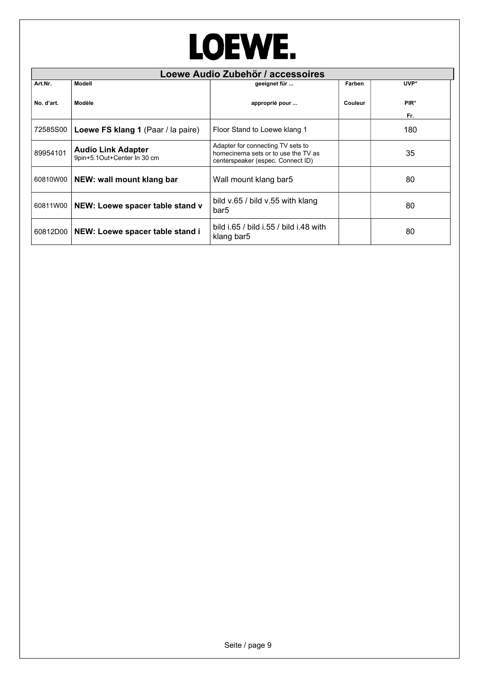|            |                                                          | Loewe Audio Zubehör / accessoires                                                                             |         |                               |
|------------|----------------------------------------------------------|---------------------------------------------------------------------------------------------------------------|---------|-------------------------------|
| Art.Nr.    | Modell                                                   | geeignet für                                                                                                  | Farben  | <b>UVP</b> °                  |
| No. d'art. | Modèle                                                   | approprié pour                                                                                                | Couleur | <b>PIR<sup>°</sup></b><br>Fr. |
| 72585S00   | Loewe FS klang 1 (Paar / la paire)                       | Floor Stand to Loewe klang 1                                                                                  |         | 180                           |
| 89954101   | <b>Audio Link Adapter</b><br>9pin+5.1Out+Center In 30 cm | Adapter for connecting TV sets to<br>homecinema sets or to use the TV as<br>centerspeaker (espec. Connect ID) |         | 35                            |
| 60810W00   | NEW: wall mount klang bar                                | Wall mount klang bar5                                                                                         |         | 80                            |
| 60811W00   | NEW: Loewe spacer table stand v                          | bild v.65 / bild v.55 with klang<br>bar5                                                                      |         | 80                            |
| 60812D00   | NEW: Loewe spacer table stand i                          | bild i.65 / bild i.55 / bild i.48 with<br>klang bar5                                                          |         | 80                            |